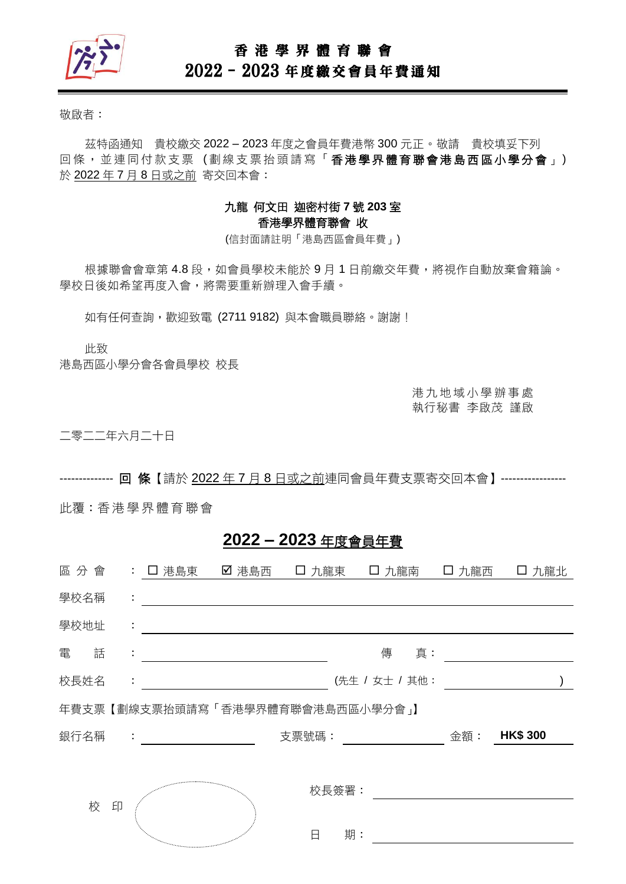

## 香 港 學 界 體 育 聯 會

# 2022–2023 年度繳交會員年費通知

敬啟者:

茲特函通知 貴校繳交 2022 – 2023 年度之會員年費港幣 300 元正。敬請 貴校填妥下列 回條, 並連同付款支票(劃線支票抬頭請寫「香港學界體育聯會港島西區小學分會」) 於 2022 年 7 月 8 日或之前 寄交回本會:

### 九龍 何文田 迦密村街 **7** 號 **203** 室 香港學界體育聯會 收

(信封面請註明「港島西區會員年費」)

根據聯會會章第 4.8 段,如會員學校未能於9月1日前繳交年費,將視作自動放棄會籍論。 學校日後如希望再度入會,將需要重新辦理入會手續。

如有任何查詢,歡迎致電 (2711 9182)與本會職員聯絡。謝謝!

此致

港島西區小學分會各會員學校 校長

港 九 地 域 小 學 辦 事 處 執行秘書 李啟茂 謹啟

二零二二年六月二十日

-------------- 回 條【請於 2022 年 7 月 8 日或之前連同會員年費支票寄交回本會】-----------------

此覆:香港 學 界體 育 聯會

## **2022 – 2023** 年度會員年費

| 區分會    |   | : 口 港島東                          | ☑ 港島西 |       | □ 九龍東 □ 九龍南    |    | 口 九龍西 | 口 九龍北           |  |
|--------|---|----------------------------------|-------|-------|----------------|----|-------|-----------------|--|
| 學校名稱   | ÷ |                                  |       |       |                |    |       |                 |  |
| 學校地址   | ÷ |                                  |       |       |                |    |       |                 |  |
| 電<br>話 | ÷ |                                  |       |       | 傳              | 真: |       |                 |  |
| 校長姓名   | ÷ |                                  |       |       | (先生 / 女士 / 其他: |    |       |                 |  |
|        |   | 年費支票【劃線支票抬頭請寫「香港學界體育聯會港島西區小學分會」】 |       |       |                |    |       |                 |  |
| 銀行名稱   |   |                                  |       | 支票號碼: |                |    | 金額:   | <b>HK\$ 300</b> |  |
|        |   |                                  |       |       |                |    |       |                 |  |
| 校      | 印 |                                  |       | 校長簽署: |                |    |       |                 |  |
|        |   |                                  |       |       |                |    |       |                 |  |
|        |   | and an annual contraction        |       | 日     | 期:             |    |       |                 |  |